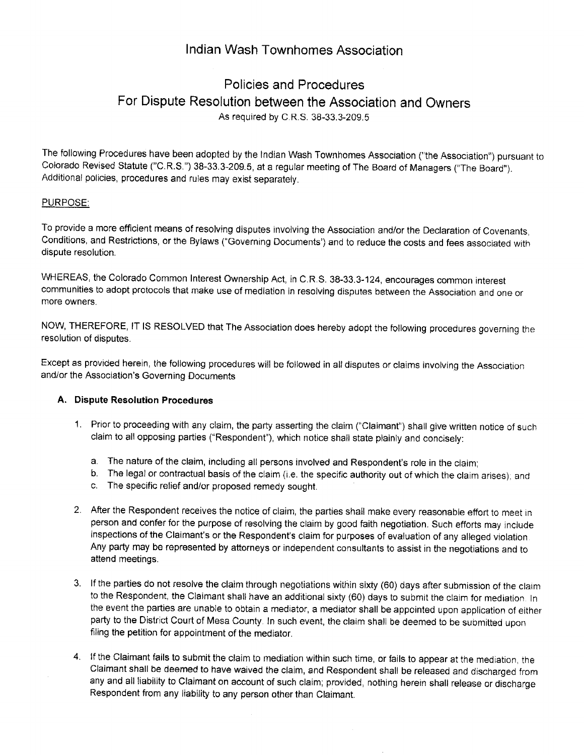# lndian Wash Townhomes Association

# Policies and Procedures For Dispute Resolution between the Association and Owners As required by C R.S. 38-33.3-209.s

The following Procedures have been adopted by the Indian Wash Townhomes Association ("the Association") pursuant to Colorado Revised Statute ("C.R.S.") 38-33.3-209.5, at a regular meeting of The Board of Managers ("The Board"). Additional policies, procedures and rules may exist separately.

### PURPOSE:

To provide a more efficient means of resolving disputes involving the Association and/or the Declaration of Covenants, Conditions, and Restrictions, or the Bylaws ("Governing Documents') and to reduce the costs and fees associated with dispute resolution.

WHEREAS, the Colorado Common Interest Ownership Act, in C.R.S. 38-33.3-124, encourages common interest communities to adopt protocols that make use of mediation in resolving disputes between the Association and one or more owners.

NOW, THEREFORE, lT lS RESOLVED that The Association does hereby adopt the following procedures governing the resolution of disputes.

Except as provided herein, the following procedures will be followed in all disputes or claims involving the Association and/or the Association's Governing Documents

### A. Dispute Resolution Procedures

- 1. Prior to proceeding with any claim, the party asserting the claim ("Claimant") shall give written notice of such claim to all opposing parties ("Respondent"), which notice shall state plainly and concisely:
	-
	- a. The nature of the claim, including all persons involved and Respondent's role in the claim;<br>b. The legal or contractual basis of the claim (i.e. the specific authority out of which the claim arises); and
	- c. The specific relief and/or proposed remedy sought.
- After the Respondent receives the notice of claim, the parties shall make every reasonable effort to meet in 2.person and confer for the purpose of resolving the claim by good faith negotiation. Such efforts may include inspections of the Claimant's or the Respondent's claim for purposes of evaluation of any alleged violation Any party may be represented by attorneys or independent consultants to assist in the negotiations and to attend meetings.
- 3. If the parties do not resolve the claim through negotiations within sixty (60) days after submission of the claim to the Respondent, the Claimant shall have an additional sixty (60) days to submit the claim for mediation. In the event the parties are unable to obtain a mediator, a mediator shall be appointed upon application of either party to the District Court of Mesa County. In such event, the claim shall be deemed to be submitted upon filing the petition for appointment of the mediator.
- 4. If the Claimant fails to submit the claim to mediation within such time, or fails to appear at the mediation, the Claimant shall be deemed to have waived the claim, and Respondent shalt be released and discharged from any and all liability to Claimant on account of such claim; provided, nothing herein shall release or discharge Respondent from any liability to any person other than Claimant.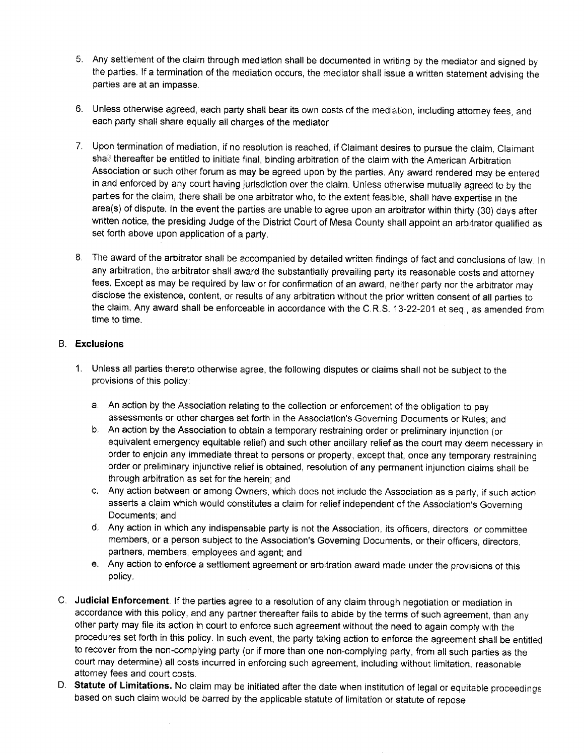- 5. Any settlement of the claim through mediation shall be documented in writing by the mediator and signed by the parties. If a termination of the mediation occurs, the mediator shall issue a written statement advising the parties are at an impasse.
- 6. Unless otherwise agreed, each party shall bear its own costs of the mediation, including attorney fees, and each party shall share equally all charges of the mediator
- 7. Upon termination of mediation, if no resolution is reached, if Claimant desires to pursue the claim, Claimant shall thereafter be entitled to initiate final, binding arbitration of the claim with the American Arbitration Association or such other forum as may be agreed upon by the parties. Any award rendered may be entered in and enforced by any court having jurisdiction over the claim. Unless otherwise mutuaily agreed to by the parties for the claim, there shall be one arbitrator who, to the extent feasible, shall have expertise in the area(s) of dispute. ln the event the parties are unabie to agree upon an arbitrator within thirty (30) days after written notice, the presiding Judge of the District Court of Mesa County shall appoint an arbitrator qualified as set forth above upon application of a party.
- The award of the arbitrator shall be accompanied by detailed written findings of fact and conclusions of law. ln any arbitration, the arbitrator shall award the substantially prevailing party its reasonable costs and attorney fees. Except as may be required by law or for confirmation of an award, neither party nor the arbitrator may disclose the existence, content, or results of any arbitration without the prior written conseni of all parties to the claim. Any award shall be enforceable in accordance with the C.R.S. 13-22-201 et seq., as amended from time to time.

### B. Exclusions

- 1. Unless all parties thereto otherwise agree, the following disputes or claims shall not be subject to the provisions of this policy:
	- An action by the Association relating to the collection or enforcement of the obligation to pay assessments or other charges set forth in the Association's Governing Documents or Rules, and
	- b. An action by the Association to obtain a temporary restraining order or preliminary injunction (or equivalent emergency eguitable relief) and such other ancillary relief as the court may deem necessary in order to enjoin any immediate threat to persons or property, except that, onee any temporary restraining order or preliminary injunctive relief is obtained, resolution of any permanent injunction claims shall be through arbitration as set for the herein; and
	- Any action between or among Owners, which does not include the Association as a party, if such action asserts a claim which would constitutes a claim for relief independent of the Association's Governing Documents; and
	- d. Any action in which any indispensable party is not the Association, its officers, directors, or committee members, or a person subject to the Association's Governing Documents, or their officers, directors, partners, members, employees and agent; and
	- Any action to enforce a settlement agreement or arbitration award made under the provisions of this e, policy.
- C. Uudicial Enforcement. If the parties agree to a resolution of any claim through negotiation or mediation in accordance with this policy, and any partner thereafter fails to abide by the terms of such agreement, than any other party may file its action in court to enforce such agreement without the need to again comply with the procedures set forth in this policy. ln such event, the party taking action to enforce the agreement shall be entiled to recover from the non-complying party (or if more than one non-complying party, from all such parties as the court may determine) all costs incurred in enforcing such agreement, including without limitation, reasonable attorney fees and court costs.
- D. Statute of Limitations. No claim may be initiated after the date when institution of legal or equitable proceedings based on such claim would be barred by the applicable statute of limitation or statute of repose